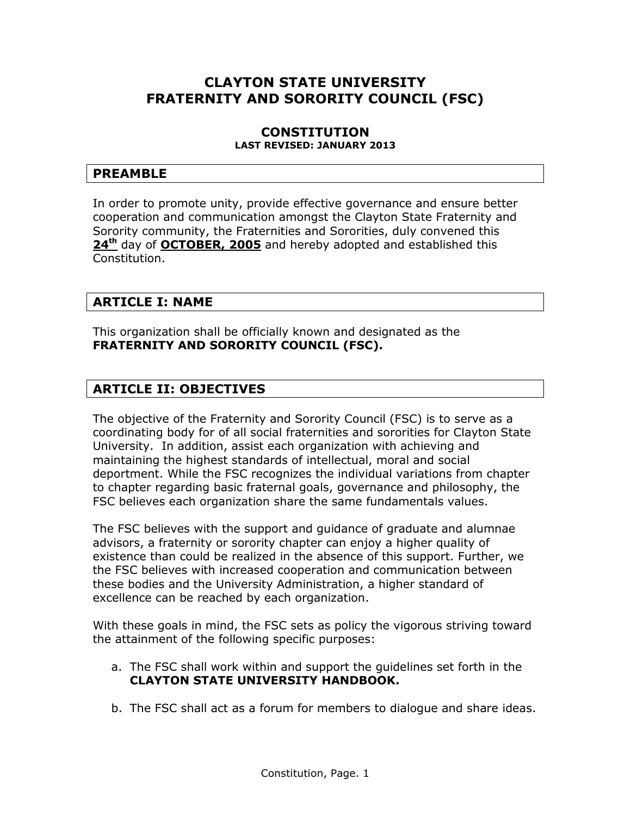# **CLAYTON STATE UNIVERSITY FRATERNITY AND SORORITY COUNCIL (FSC)**

#### **CONSTITUTION LAST REVISED: JANUARY 2013**

### **PREAMBLE**

In order to promote unity, provide effective governance and ensure better cooperation and communication amongst the Clayton State Fraternity and Sorority community, the Fraternities and Sororities, duly convened this **24th** day of **OCTOBER, 2005** and hereby adopted and established this Constitution.

# **ARTICLE I: NAME**

This organization shall be officially known and designated as the **FRATERNITY AND SORORITY COUNCIL (FSC).** 

# **ARTICLE II: OBJECTIVES**

The objective of the Fraternity and Sorority Council (FSC) is to serve as a coordinating body for of all social fraternities and sororities for Clayton State University. In addition, assist each organization with achieving and maintaining the highest standards of intellectual, moral and social deportment. While the FSC recognizes the individual variations from chapter to chapter regarding basic fraternal goals, governance and philosophy, the FSC believes each organization share the same fundamentals values.

The FSC believes with the support and guidance of graduate and alumnae advisors, a fraternity or sorority chapter can enjoy a higher quality of existence than could be realized in the absence of this support. Further, we the FSC believes with increased cooperation and communication between these bodies and the University Administration, a higher standard of excellence can be reached by each organization.

With these goals in mind, the FSC sets as policy the vigorous striving toward the attainment of the following specific purposes:

- a. The FSC shall work within and support the guidelines set forth in the **CLAYTON STATE UNIVERSITY HANDBOOK.**
- b. The FSC shall act as a forum for members to dialogue and share ideas.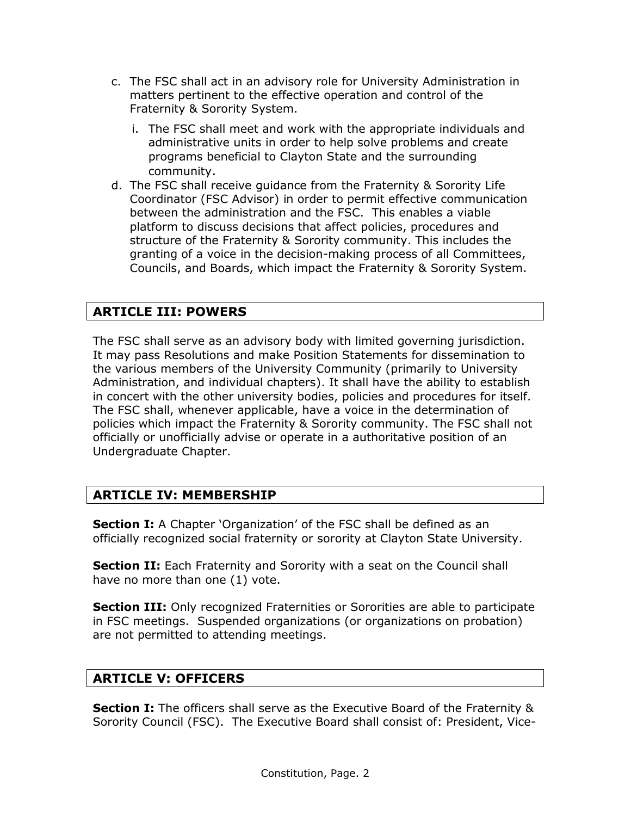- c. The FSC shall act in an advisory role for University Administration in matters pertinent to the effective operation and control of the Fraternity & Sorority System.
	- i. The FSC shall meet and work with the appropriate individuals and administrative units in order to help solve problems and create programs beneficial to Clayton State and the surrounding community.
- d. The FSC shall receive guidance from the Fraternity & Sorority Life Coordinator (FSC Advisor) in order to permit effective communication between the administration and the FSC. This enables a viable platform to discuss decisions that affect policies, procedures and structure of the Fraternity & Sorority community. This includes the granting of a voice in the decision-making process of all Committees, Councils, and Boards, which impact the Fraternity & Sorority System.

# **ARTICLE III: POWERS**

The FSC shall serve as an advisory body with limited governing jurisdiction. It may pass Resolutions and make Position Statements for dissemination to the various members of the University Community (primarily to University Administration, and individual chapters). It shall have the ability to establish in concert with the other university bodies, policies and procedures for itself. The FSC shall, whenever applicable, have a voice in the determination of policies which impact the Fraternity & Sorority community. The FSC shall not officially or unofficially advise or operate in a authoritative position of an Undergraduate Chapter.

# **ARTICLE IV: MEMBERSHIP**

**Section I:** A Chapter 'Organization' of the FSC shall be defined as an officially recognized social fraternity or sorority at Clayton State University.

**Section II:** Each Fraternity and Sorority with a seat on the Council shall have no more than one (1) vote.

**Section III:** Only recognized Fraternities or Sororities are able to participate in FSC meetings. Suspended organizations (or organizations on probation) are not permitted to attending meetings.

# **ARTICLE V: OFFICERS**

**Section I:** The officers shall serve as the Executive Board of the Fraternity & Sorority Council (FSC). The Executive Board shall consist of: President, Vice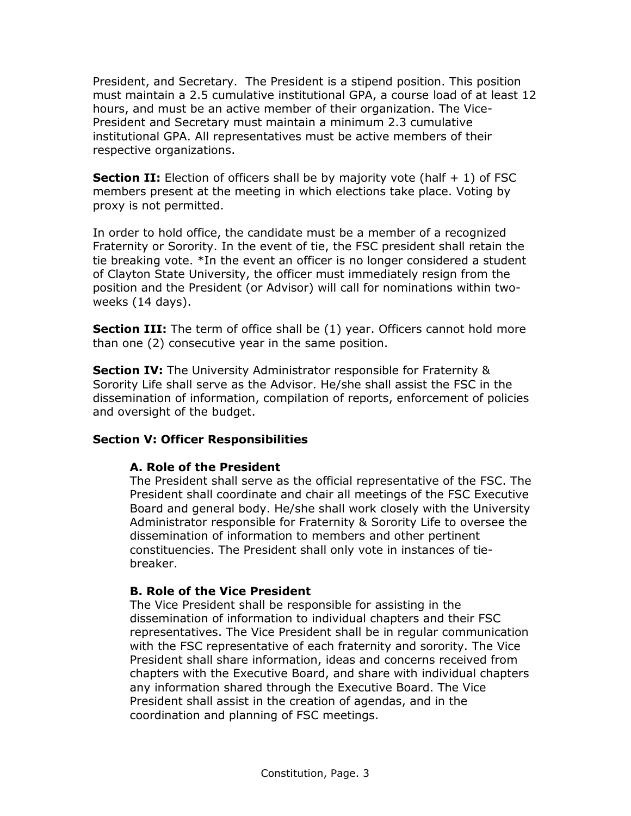President, and Secretary. The President is a stipend position. This position must maintain a 2.5 cumulative institutional GPA, a course load of at least 12 hours, and must be an active member of their organization. The Vice-President and Secretary must maintain a minimum 2.3 cumulative institutional GPA. All representatives must be active members of their respective organizations.

**Section II:** Election of officers shall be by majority vote (half + 1) of FSC members present at the meeting in which elections take place. Voting by proxy is not permitted.

In order to hold office, the candidate must be a member of a recognized Fraternity or Sorority. In the event of tie, the FSC president shall retain the tie breaking vote. \*In the event an officer is no longer considered a student of Clayton State University, the officer must immediately resign from the position and the President (or Advisor) will call for nominations within twoweeks (14 days).

**Section III:** The term of office shall be (1) year. Officers cannot hold more than one (2) consecutive year in the same position.

**Section IV:** The University Administrator responsible for Fraternity & Sorority Life shall serve as the Advisor. He/she shall assist the FSC in the dissemination of information, compilation of reports, enforcement of policies and oversight of the budget.

#### **Section V: Officer Responsibilities**

#### **A. Role of the President**

The President shall serve as the official representative of the FSC. The President shall coordinate and chair all meetings of the FSC Executive Board and general body. He/she shall work closely with the University Administrator responsible for Fraternity & Sorority Life to oversee the dissemination of information to members and other pertinent constituencies. The President shall only vote in instances of tiebreaker.

### **B. Role of the Vice President**

The Vice President shall be responsible for assisting in the dissemination of information to individual chapters and their FSC representatives. The Vice President shall be in regular communication with the FSC representative of each fraternity and sorority. The Vice President shall share information, ideas and concerns received from chapters with the Executive Board, and share with individual chapters any information shared through the Executive Board. The Vice President shall assist in the creation of agendas, and in the coordination and planning of FSC meetings.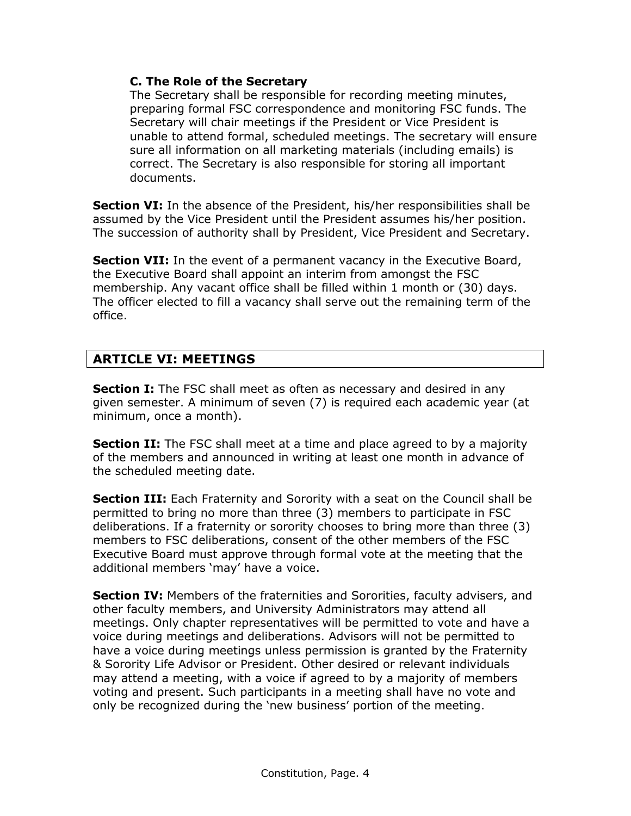#### **C. The Role of the Secretary**

The Secretary shall be responsible for recording meeting minutes, preparing formal FSC correspondence and monitoring FSC funds. The Secretary will chair meetings if the President or Vice President is unable to attend formal, scheduled meetings. The secretary will ensure sure all information on all marketing materials (including emails) is correct. The Secretary is also responsible for storing all important documents.

**Section VI:** In the absence of the President, his/her responsibilities shall be assumed by the Vice President until the President assumes his/her position. The succession of authority shall by President, Vice President and Secretary.

**Section VII:** In the event of a permanent vacancy in the Executive Board, the Executive Board shall appoint an interim from amongst the FSC membership. Any vacant office shall be filled within 1 month or (30) days. The officer elected to fill a vacancy shall serve out the remaining term of the office.

# **ARTICLE VI: MEETINGS**

**Section I:** The FSC shall meet as often as necessary and desired in any given semester. A minimum of seven (7) is required each academic year (at minimum, once a month).

**Section II:** The FSC shall meet at a time and place agreed to by a majority of the members and announced in writing at least one month in advance of the scheduled meeting date.

**Section III:** Each Fraternity and Sorority with a seat on the Council shall be permitted to bring no more than three (3) members to participate in FSC deliberations. If a fraternity or sorority chooses to bring more than three (3) members to FSC deliberations, consent of the other members of the FSC Executive Board must approve through formal vote at the meeting that the additional members 'may' have a voice.

**Section IV:** Members of the fraternities and Sororities, faculty advisers, and other faculty members, and University Administrators may attend all meetings. Only chapter representatives will be permitted to vote and have a voice during meetings and deliberations. Advisors will not be permitted to have a voice during meetings unless permission is granted by the Fraternity & Sorority Life Advisor or President. Other desired or relevant individuals may attend a meeting, with a voice if agreed to by a majority of members voting and present. Such participants in a meeting shall have no vote and only be recognized during the 'new business' portion of the meeting.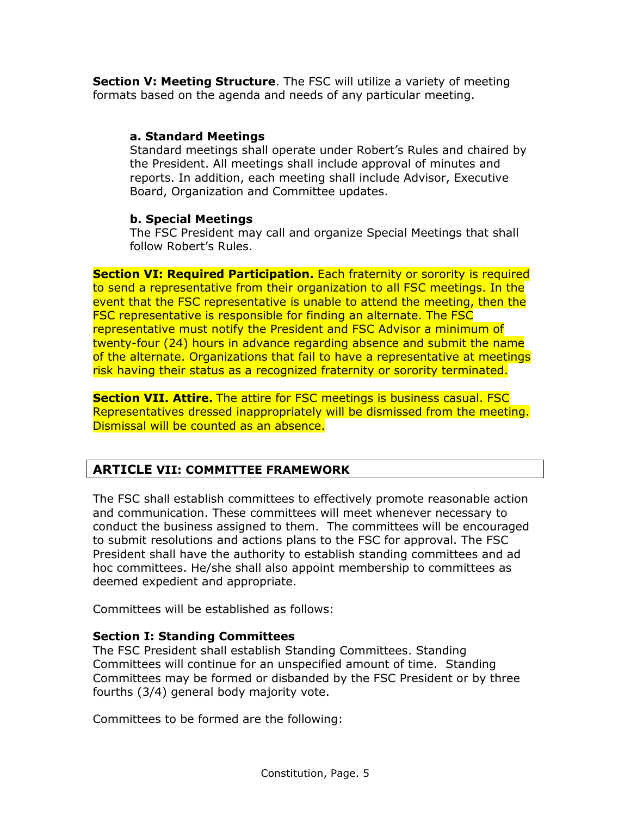**Section V: Meeting Structure**. The FSC will utilize a variety of meeting formats based on the agenda and needs of any particular meeting.

#### **a. Standard Meetings**

Standard meetings shall operate under Robert's Rules and chaired by the President. All meetings shall include approval of minutes and reports. In addition, each meeting shall include Advisor, Executive Board, Organization and Committee updates.

#### **b. Special Meetings**

The FSC President may call and organize Special Meetings that shall follow Robert's Rules.

**Section VI: Required Participation.** Each fraternity or sorority is required to send a representative from their organization to all FSC meetings. In the event that the FSC representative is unable to attend the meeting, then the FSC representative is responsible for finding an alternate. The FSC representative must notify the President and FSC Advisor a minimum of twenty-four (24) hours in advance regarding absence and submit the name of the alternate. Organizations that fail to have a representative at meetings risk having their status as a recognized fraternity or sorority terminated.

**Section VII. Attire.** The attire for FSC meetings is business casual. FSC Representatives dressed inappropriately will be dismissed from the meeting. Dismissal will be counted as an absence.

# **ARTICLE VII: COMMITTEE FRAMEWORK**

The FSC shall establish committees to effectively promote reasonable action and communication. These committees will meet whenever necessary to conduct the business assigned to them. The committees will be encouraged to submit resolutions and actions plans to the FSC for approval. The FSC President shall have the authority to establish standing committees and ad hoc committees. He/she shall also appoint membership to committees as deemed expedient and appropriate.

Committees will be established as follows:

#### **Section I: Standing Committees**

The FSC President shall establish Standing Committees. Standing Committees will continue for an unspecified amount of time. Standing Committees may be formed or disbanded by the FSC President or by three fourths (3/4) general body majority vote.

Committees to be formed are the following: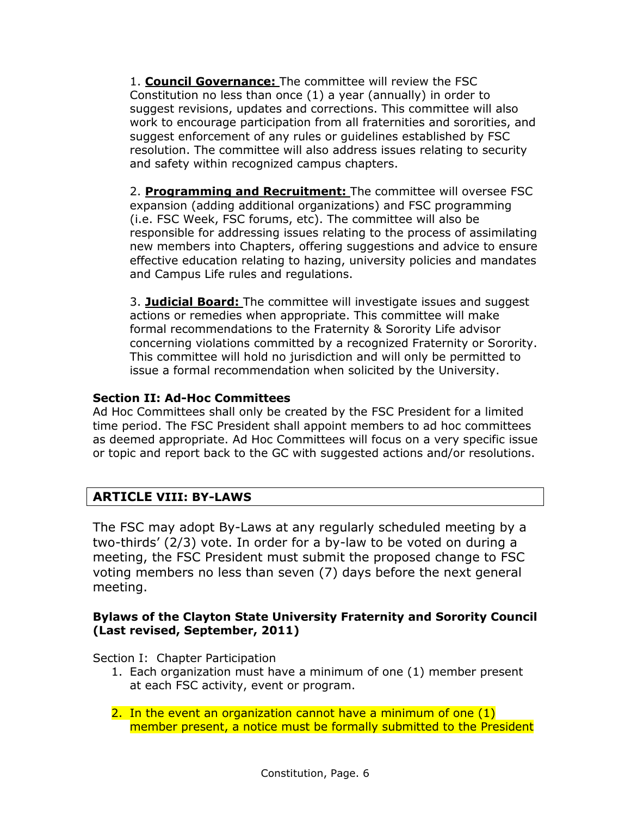1. **Council Governance:** The committee will review the FSC Constitution no less than once (1) a year (annually) in order to suggest revisions, updates and corrections. This committee will also work to encourage participation from all fraternities and sororities, and suggest enforcement of any rules or guidelines established by FSC resolution. The committee will also address issues relating to security and safety within recognized campus chapters.

2. **Programming and Recruitment:** The committee will oversee FSC expansion (adding additional organizations) and FSC programming (i.e. FSC Week, FSC forums, etc). The committee will also be responsible for addressing issues relating to the process of assimilating new members into Chapters, offering suggestions and advice to ensure effective education relating to hazing, university policies and mandates and Campus Life rules and regulations.

3. **Judicial Board:** The committee will investigate issues and suggest actions or remedies when appropriate. This committee will make formal recommendations to the Fraternity & Sorority Life advisor concerning violations committed by a recognized Fraternity or Sorority. This committee will hold no jurisdiction and will only be permitted to issue a formal recommendation when solicited by the University.

### **Section II: Ad-Hoc Committees**

Ad Hoc Committees shall only be created by the FSC President for a limited time period. The FSC President shall appoint members to ad hoc committees as deemed appropriate. Ad Hoc Committees will focus on a very specific issue or topic and report back to the GC with suggested actions and/or resolutions.

# **ARTICLE VIII: BY-LAWS**

The FSC may adopt By-Laws at any regularly scheduled meeting by a two-thirds' (2/3) vote. In order for a by-law to be voted on during a meeting, the FSC President must submit the proposed change to FSC voting members no less than seven (7) days before the next general meeting.

### **Bylaws of the Clayton State University Fraternity and Sorority Council (Last revised, September, 2011)**

Section I: Chapter Participation

1. Each organization must have a minimum of one (1) member present at each FSC activity, event or program.

2. In the event an organization cannot have a minimum of one (1) member present, a notice must be formally submitted to the President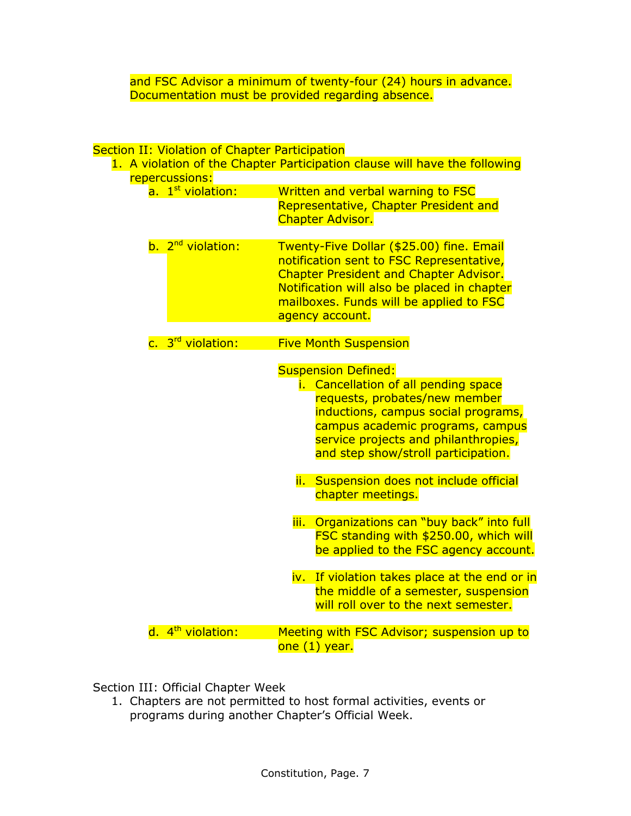and FSC Advisor a minimum of twenty-four (24) hours in advance. Documentation must be provided regarding absence.

#### Section II: Violation of Chapter Participation

|                               | 1. A violation of the Chapter Participation clause will have the following                                                                                                                                                                                    |
|-------------------------------|---------------------------------------------------------------------------------------------------------------------------------------------------------------------------------------------------------------------------------------------------------------|
| repercussions:                |                                                                                                                                                                                                                                                               |
| a. 1 <sup>st</sup> violation: | Written and verbal warning to FSC<br>Representative, Chapter President and<br><b>Chapter Advisor.</b>                                                                                                                                                         |
| b. 2 <sup>nd</sup> violation: | Twenty-Five Dollar (\$25.00) fine. Email<br>notification sent to FSC Representative,<br><b>Chapter President and Chapter Advisor.</b><br>Notification will also be placed in chapter<br>mailboxes. Funds will be applied to FSC<br>agency account.            |
| c. 3 <sup>rd</sup> violation: | <b>Five Month Suspension</b>                                                                                                                                                                                                                                  |
|                               | <b>Suspension Defined:</b><br>i. Cancellation of all pending space<br>requests, probates/new member<br>inductions, campus social programs,<br>campus academic programs, campus<br>service projects and philanthropies,<br>and step show/stroll participation. |
|                               | ii. Suspension does not include official<br>chapter meetings.                                                                                                                                                                                                 |
|                               | Organizations can "buy back" into full<br>iii.<br>FSC standing with \$250.00, which will<br>be applied to the FSC agency account.                                                                                                                             |
|                               | iv. If violation takes place at the end or in<br>the middle of a semester, suspension<br>will roll over to the next semester.                                                                                                                                 |
| d. 4 <sup>th</sup> violation: | Meeting with FSC Advisor; suspension up to<br>one (1) year.                                                                                                                                                                                                   |

Section III: Official Chapter Week

1. Chapters are not permitted to host formal activities, events or programs during another Chapter's Official Week.